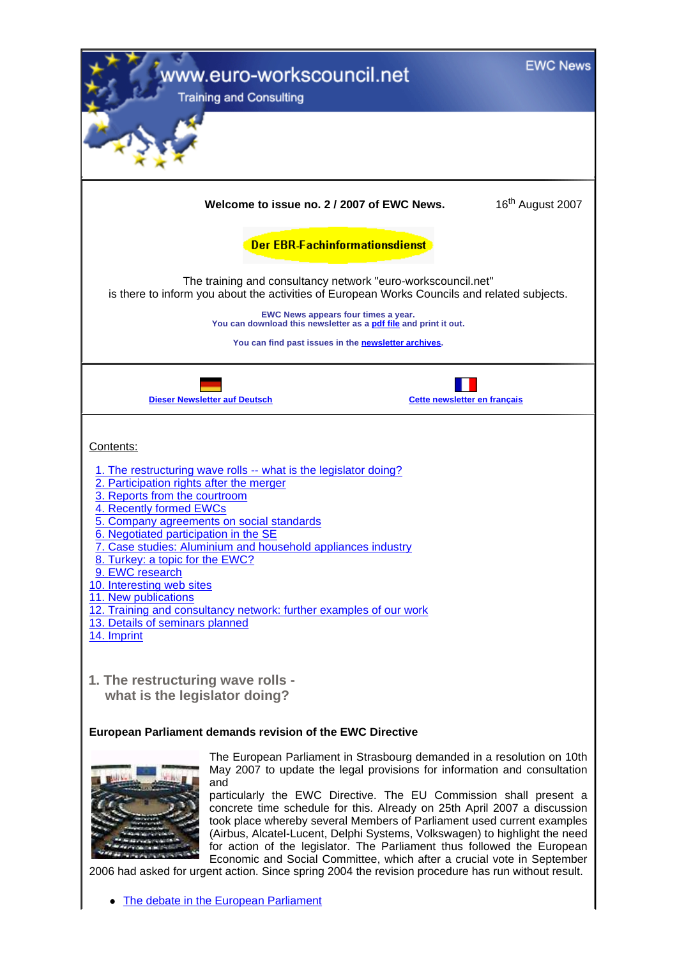| vww.euro-workscouncil.net<br><b>Training and Consulting</b>                                                                                                                                                                                                                                                                                                                                                                                                                                                                                                                                                                                                                                                                                                            |                              | <b>EWC News</b>              |
|------------------------------------------------------------------------------------------------------------------------------------------------------------------------------------------------------------------------------------------------------------------------------------------------------------------------------------------------------------------------------------------------------------------------------------------------------------------------------------------------------------------------------------------------------------------------------------------------------------------------------------------------------------------------------------------------------------------------------------------------------------------------|------------------------------|------------------------------|
|                                                                                                                                                                                                                                                                                                                                                                                                                                                                                                                                                                                                                                                                                                                                                                        |                              |                              |
| Welcome to issue no. 2 / 2007 of EWC News.                                                                                                                                                                                                                                                                                                                                                                                                                                                                                                                                                                                                                                                                                                                             |                              | 16 <sup>th</sup> August 2007 |
| Der EBR-Fachinformationsdienst                                                                                                                                                                                                                                                                                                                                                                                                                                                                                                                                                                                                                                                                                                                                         |                              |                              |
| The training and consultancy network "euro-workscouncil.net"<br>is there to inform you about the activities of European Works Councils and related subjects.                                                                                                                                                                                                                                                                                                                                                                                                                                                                                                                                                                                                           |                              |                              |
| EWC News appears four times a year.<br>You can download this newsletter as a pdf file and print it out.                                                                                                                                                                                                                                                                                                                                                                                                                                                                                                                                                                                                                                                                |                              |                              |
| You can find past issues in the newsletter archives.                                                                                                                                                                                                                                                                                                                                                                                                                                                                                                                                                                                                                                                                                                                   |                              |                              |
| <b>Dieser Newsletter auf Deutsch</b>                                                                                                                                                                                                                                                                                                                                                                                                                                                                                                                                                                                                                                                                                                                                   | Cette newsletter en français |                              |
| Contents:<br>1. The restructuring wave rolls -- what is the legislator doing?<br>2. Participation rights after the merger<br>3. Reports from the courtroom<br>4. Recently formed EWCs<br>5. Company agreements on social standards<br>6. Negotiated participation in the SE<br>7. Case studies: Aluminium and household appliances industry<br>8. Turkey: a topic for the EWC?<br>9. EWC research<br>10. Interesting web sites<br>11. New publications<br>12. Training and consultancy network: further examples of our work<br>13. Details of seminars planned<br>14. Imprint<br>1. The restructuring wave rolls -<br>what is the legislator doing?                                                                                                                   |                              |                              |
| <b>European Parliament demands revision of the EWC Directive</b>                                                                                                                                                                                                                                                                                                                                                                                                                                                                                                                                                                                                                                                                                                       |                              |                              |
| The European Parliament in Strasbourg demanded in a resolution on 10th<br>May 2007 to update the legal provisions for information and consultation<br>and<br>particularly the EWC Directive. The EU Commission shall present a<br>concrete time schedule for this. Already on 25th April 2007 a discussion<br>took place whereby several Members of Parliament used current examples<br>(Airbus, Alcatel-Lucent, Delphi Systems, Volkswagen) to highlight the need<br>for action of the legislator. The Parliament thus followed the European<br>Economic and Social Committee, which after a crucial vote in September<br>2006 had asked for urgent action. Since spring 2004 the revision procedure has run without result.<br>The debate in the European Parliament |                              |                              |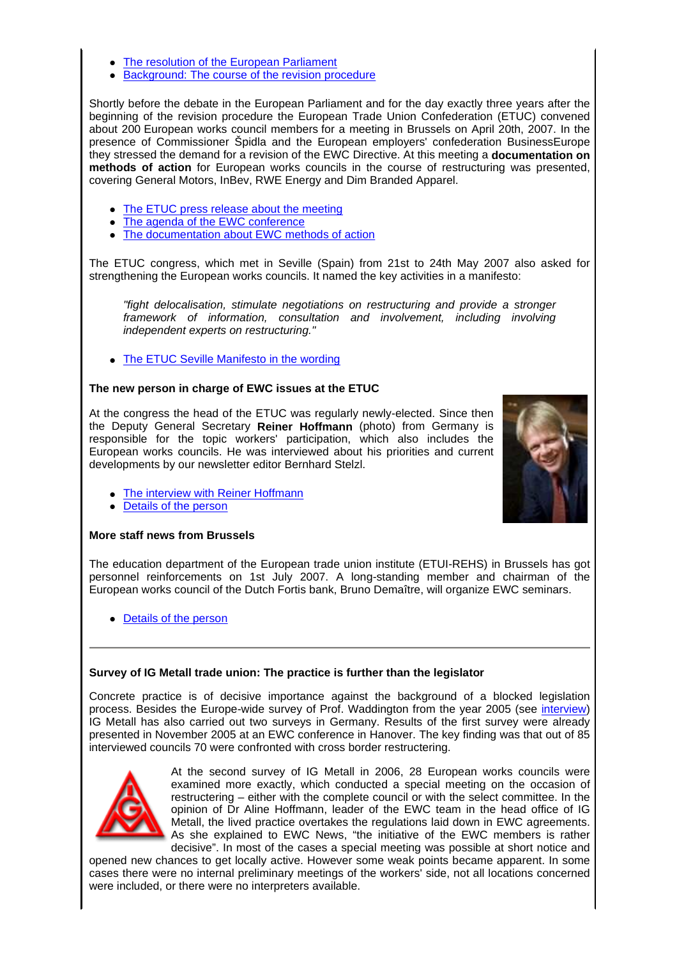- The resolution of the European Parliament
- Background: The course of the revision procedure

Shortly before the debate in the European Parliament and for the day exactly three years after the beginning of the revision procedure the European Trade Union Confederation (ETUC) convened about 200 European works council members for a meeting in Brussels on April 20th, 2007. In the presence of Commissioner Špidla and the European employers' confederation BusinessEurope they stressed the demand for a revision of the EWC Directive. At this meeting a **documentation on methods of action** for European works councils in the course of restructuring was presented, covering General Motors, InBev, RWE Energy and Dim Branded Apparel.

- The ETUC press release about the meeting
- The agenda of the EWC conference
- The documentation about EWC methods of action

The ETUC congress, which met in Seville (Spain) from 21st to 24th May 2007 also asked for strengthening the European works councils. It named the key activities in a manifesto:

"fight delocalisation, stimulate negotiations on restructuring and provide a stronger framework of information, consultation and involvement, including involving independent experts on restructuring."

• The ETUC Seville Manifesto in the wording

# **The new person in charge of EWC issues at the ETUC**

At the congress the head of the ETUC was regularly newly-elected. Since then the Deputy General Secretary **Reiner Hoffmann** (photo) from Germany is responsible for the topic workers' participation, which also includes the European works councils. He was interviewed about his priorities and current developments by our newsletter editor Bernhard Stelzl.



- The interview with Reiner Hoffmann
- Details of the person

#### **More staff news from Brussels**

The education department of the European trade union institute (ETUI-REHS) in Brussels has got personnel reinforcements on 1st July 2007. A long-standing member and chairman of the European works council of the Dutch Fortis bank, Bruno Demaître, will organize EWC seminars.

• Details of the person

#### **Survey of IG Metall trade union: The practice is further than the legislator**

Concrete practice is of decisive importance against the background of a blocked legislation process. Besides the Europe-wide survey of Prof. Waddington from the year 2005 (see interview) IG Metall has also carried out two surveys in Germany. Results of the first survey were already presented in November 2005 at an EWC conference in Hanover. The key finding was that out of 85 interviewed councils 70 were confronted with cross border restructering.



At the second survey of IG Metall in 2006, 28 European works councils were examined more exactly, which conducted a special meeting on the occasion of restructering – either with the complete council or with the select committee. In the opinion of Dr Aline Hoffmann, leader of the EWC team in the head office of IG Metall, the lived practice overtakes the regulations laid down in EWC agreements. As she explained to EWC News, "the initiative of the EWC members is rather decisive". In most of the cases a special meeting was possible at short notice and

opened new chances to get locally active. However some weak points became apparent. In some cases there were no internal preliminary meetings of the workers' side, not all locations concerned were included, or there were no interpreters available.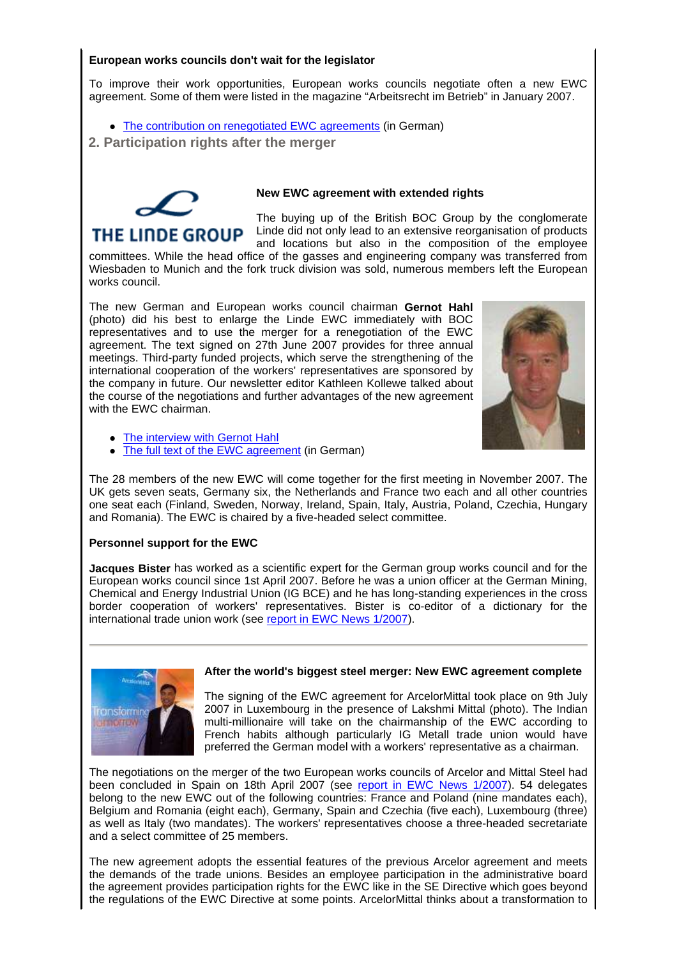# **European works councils don't wait for the legislator**

To improve their work opportunities, European works councils negotiate often a new EWC agreement. Some of them were listed in the magazine "Arbeitsrecht im Betrieb" in January 2007.

- The contribution on renegotiated EWC agreements (in German)
- **2. Participation rights after the merger**



# **New EWC agreement with extended rights**

The buying up of the British BOC Group by the conglomerate Linde did not only lead to an extensive reorganisation of products and locations but also in the composition of the employee

committees. While the head office of the gasses and engineering company was transferred from Wiesbaden to Munich and the fork truck division was sold, numerous members left the European works council.

The new German and European works council chairman **Gernot Hahl** (photo) did his best to enlarge the Linde EWC immediately with BOC representatives and to use the merger for a renegotiation of the EWC agreement. The text signed on 27th June 2007 provides for three annual meetings. Third-party funded projects, which serve the strengthening of the international cooperation of the workers' representatives are sponsored by the company in future. Our newsletter editor Kathleen Kollewe talked about the course of the negotiations and further advantages of the new agreement with the EWC chairman.



- The interview with Gernot Hahl
- The full text of the EWC agreement (in German)

The 28 members of the new EWC will come together for the first meeting in November 2007. The UK gets seven seats, Germany six, the Netherlands and France two each and all other countries one seat each (Finland, Sweden, Norway, Ireland, Spain, Italy, Austria, Poland, Czechia, Hungary and Romania). The EWC is chaired by a five-headed select committee.

# **Personnel support for the EWC**

**Jacques Bister** has worked as a scientific expert for the German group works council and for the European works council since 1st April 2007. Before he was a union officer at the German Mining, Chemical and Energy Industrial Union (IG BCE) and he has long-standing experiences in the cross border cooperation of workers' representatives. Bister is co-editor of a dictionary for the international trade union work (see report in EWC News 1/2007).

#### **After the world's biggest steel merger: New EWC agreement complete**



The signing of the EWC agreement for ArcelorMittal took place on 9th July 2007 in Luxembourg in the presence of Lakshmi Mittal (photo). The Indian multi-millionaire will take on the chairmanship of the EWC according to French habits although particularly IG Metall trade union would have preferred the German model with a workers' representative as a chairman.

The negotiations on the merger of the two European works councils of Arcelor and Mittal Steel had been concluded in Spain on 18th April 2007 (see report in EWC News 1/2007). 54 delegates belong to the new EWC out of the following countries: France and Poland (nine mandates each), Belgium and Romania (eight each), Germany, Spain and Czechia (five each), Luxembourg (three) as well as Italy (two mandates). The workers' representatives choose a three-headed secretariate and a select committee of 25 members.

The new agreement adopts the essential features of the previous Arcelor agreement and meets the demands of the trade unions. Besides an employee participation in the administrative board the agreement provides participation rights for the EWC like in the SE Directive which goes beyond the regulations of the EWC Directive at some points. ArcelorMittal thinks about a transformation to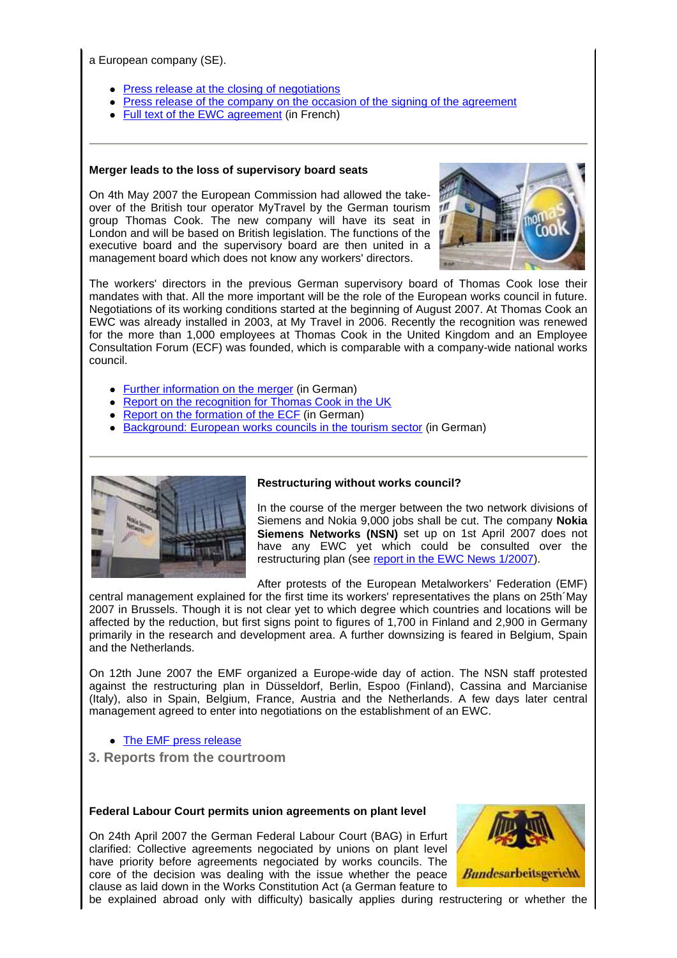a European company (SE).

- Press release at the closing of negotiations
- Press release of the company on the occasion of the signing of the agreement
- Full text of the EWC agreement (in French)

#### **Merger leads to the loss of supervisory board seats**

On 4th May 2007 the European Commission had allowed the takeover of the British tour operator MyTravel by the German tourism group Thomas Cook. The new company will have its seat in London and will be based on British legislation. The functions of the executive board and the supervisory board are then united in a management board which does not know any workers' directors.



The workers' directors in the previous German supervisory board of Thomas Cook lose their mandates with that. All the more important will be the role of the European works council in future. Negotiations of its working conditions started at the beginning of August 2007. At Thomas Cook an EWC was already installed in 2003, at My Travel in 2006. Recently the recognition was renewed for the more than 1,000 employees at Thomas Cook in the United Kingdom and an Employee Consultation Forum (ECF) was founded, which is comparable with a company-wide national works council.

- Further information on the merger (in German)
- Report on the recognition for Thomas Cook in the UK
- Report on the formation of the ECF (in German)
- Background: European works councils in the tourism sector (in German)



#### **Restructuring without works council?**

In the course of the merger between the two network divisions of Siemens and Nokia 9,000 jobs shall be cut. The company **Nokia Siemens Networks (NSN)** set up on 1st April 2007 does not have any EWC yet which could be consulted over the restructuring plan (see report in the EWC News 1/2007).

After protests of the European Metalworkers' Federation (EMF)

central management explained for the first time its workers' representatives the plans on 25th´May 2007 in Brussels. Though it is not clear yet to which degree which countries and locations will be affected by the reduction, but first signs point to figures of 1,700 in Finland and 2,900 in Germany primarily in the research and development area. A further downsizing is feared in Belgium, Spain and the Netherlands.

On 12th June 2007 the EMF organized a Europe-wide day of action. The NSN staff protested against the restructuring plan in Düsseldorf, Berlin, Espoo (Finland), Cassina and Marcianise (Italy), also in Spain, Belgium, France, Austria and the Netherlands. A few days later central management agreed to enter into negotiations on the establishment of an EWC.

• The EMF press release

 **3. Reports from the courtroom**

#### **Federal Labour Court permits union agreements on plant level**

On 24th April 2007 the German Federal Labour Court (BAG) in Erfurt clarified: Collective agreements negociated by unions on plant level have priority before agreements negociated by works councils. The core of the decision was dealing with the issue whether the peace clause as laid down in the Works Constitution Act (a German feature to



be explained abroad only with difficulty) basically applies during restructering or whether the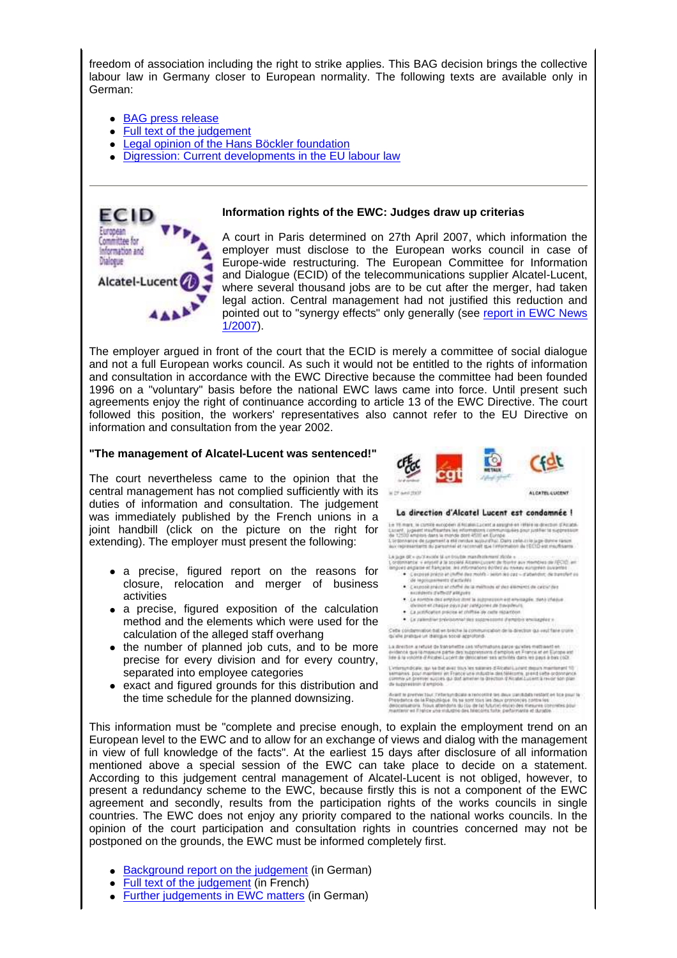freedom of association including the right to strike applies. This BAG decision brings the collective labour law in Germany closer to European normality. The following texts are available only in German:

- BAG press release
- Full text of the judgement
- Legal opinion of the Hans Böckler foundation
- Digression: Current developments in the EU labour law



#### **Information rights of the EWC: Judges draw up criterias**

A court in Paris determined on 27th April 2007, which information the employer must disclose to the European works council in case of Europe-wide restructuring. The European Committee for Information and Dialogue (ECID) of the telecommunications supplier Alcatel-Lucent, where several thousand jobs are to be cut after the merger, had taken legal action. Central management had not justified this reduction and pointed out to "synergy effects" only generally (see report in EWC News 1/2007).

The employer argued in front of the court that the ECID is merely a committee of social dialogue and not a full European works council. As such it would not be entitled to the rights of information and consultation in accordance with the EWC Directive because the committee had been founded 1996 on a "voluntary" basis before the national EWC laws came into force. Until present such agreements enjoy the right of continuance according to article 13 of the EWC Directive. The court followed this position, the workers' representatives also cannot refer to the EU Directive on information and consultation from the year 2002.

#### **"The management of Alcatel-Lucent was sentenced!"**

The court nevertheless came to the opinion that the central management has not complied sufficiently with its duties of information and consultation. The judgement was immediately published by the French unions in a joint handbill (click on the picture on the right for extending). The employer must present the following:

- a precise, figured report on the reasons for closure, relocation and merger of business activities
- a precise, figured exposition of the calculation method and the elements which were used for the calculation of the alleged staff overhang
- the number of planned job cuts, and to be more precise for every division and for every country, separated into employee categories
- exact and figured grounds for this distribution and the time schedule for the planned downsizing.



#### La direction d'Alcatel Lucent est condamnée l

Let 16 mars, le carolé exception d'étailes Lacent a assigné en référe le donctoir d'Atlaté.<br>Lacent, jugaint réalisation de victimisme (communistique) pour artifier le suppressure<br>de 12000 englant des la monde dont 4000 en

We express<br>that the parameter dividends that responsive in ECDD out exceptions<br>in La parameter a significal parameter description of the first parameter is a second of the<br>state of the parameter of the parameter of the sy

- 
- 
- 
- 
- . Le raismitter prévisionnel des soppréssions d'emplois en

.<br>Ceba condemnation ball en brache la communication de la direction qui reul faire crone.<br>pi elle pratique un dialingue social approhond.

La director a retuse de transmette una reformationa parce qui évidante que la mayouré partie des lesponesiens d'emplois et France et et Europe<br>les à la volonte d'Alcabe Lucérit de déricaiser ses activités dans les pays à bas ci

L'enformatiques, que les bat avec muy les sonsters d'étautes), acord departement : pour maissine et Pysocie auté industrie des Mélaures, pront subservations ;<br>comment : pour maissines en Pysocie auté industrie des Mélaure

Avant le pretrenction : l'intertumboale a recroité des deux carchitets restant en lois pour le<br>Présidence de la République, les se sont fairs les deux prononçes partielles.<br>désignement : filoso attendient du clou de la Nou

This information must be "complete and precise enough, to explain the employment trend on an European level to the EWC and to allow for an exchange of views and dialog with the management in view of full knowledge of the facts". At the earliest 15 days after disclosure of all information mentioned above a special session of the EWC can take place to decide on a statement. According to this judgement central management of Alcatel-Lucent is not obliged, however, to present a redundancy scheme to the EWC, because firstly this is not a component of the EWC agreement and secondly, results from the participation rights of the works councils in single countries. The EWC does not enjoy any priority compared to the national works councils. In the opinion of the court participation and consultation rights in countries concerned may not be postponed on the grounds, the EWC must be informed completely first.

- Background report on the judgement (in German)
- Full text of the judgement (in French)
- Further judgements in EWC matters (in German)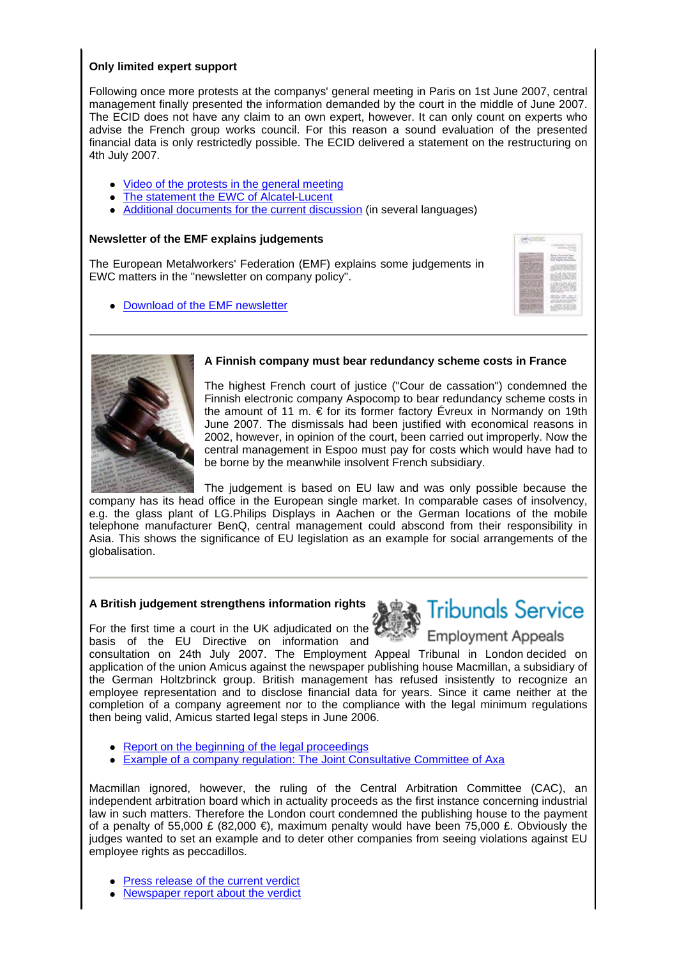# **Only limited expert support**

Following once more protests at the companys' general meeting in Paris on 1st June 2007, central management finally presented the information demanded by the court in the middle of June 2007. The ECID does not have any claim to an own expert, however. It can only count on experts who advise the French group works council. For this reason a sound evaluation of the presented financial data is only restrictedly possible. The ECID delivered a statement on the restructuring on 4th July 2007.

- Video of the protests in the general meeting
- The statement the EWC of Alcatel-Lucent
- Additional documents for the current discussion (in several languages)

# **Newsletter of the EMF explains judgements**

The European Metalworkers' Federation (EMF) explains some judgements in EWC matters in the "newsletter on company policy".

• Download of the EMF newsletter





#### **A Finnish company must bear redundancy scheme costs in France**

The highest French court of justice ("Cour de cassation") condemned the Finnish electronic company Aspocomp to bear redundancy scheme costs in the amount of 11 m.  $\epsilon$  for its former factory Évreux in Normandy on 19th June 2007. The dismissals had been justified with economical reasons in 2002, however, in opinion of the court, been carried out improperly. Now the central management in Espoo must pay for costs which would have had to be borne by the meanwhile insolvent French subsidiary.

The judgement is based on EU law and was only possible because the company has its head office in the European single market. In comparable cases of insolvency, e.g. the glass plant of LG.Philips Displays in Aachen or the German locations of the mobile telephone manufacturer BenQ, central management could abscond from their responsibility in Asia. This shows the significance of EU legislation as an example for social arrangements of the globalisation.

# **A British judgement strengthens information rights**

For the first time a court in the UK adjudicated on the basis of the EU Directive on information and



# **Tribunals Service**

**Employment Appeals** 

consultation on 24th July 2007. The Employment Appeal Tribunal in London decided on application of the union Amicus against the newspaper publishing house Macmillan, a subsidiary of the German Holtzbrinck group. British management has refused insistently to recognize an employee representation and to disclose financial data for years. Since it came neither at the completion of a company agreement nor to the compliance with the legal minimum regulations then being valid, Amicus started legal steps in June 2006.

- Report on the beginning of the legal proceedings
- Example of a company regulation: The Joint Consultative Committee of Axa

Macmillan ignored, however, the ruling of the Central Arbitration Committee (CAC), an independent arbitration board which in actuality proceeds as the first instance concerning industrial law in such matters. Therefore the London court condemned the publishing house to the payment of a penalty of 55,000 £ (82,000 €), maximum penalty would have been 75,000 £. Obviously the judges wanted to set an example and to deter other companies from seeing violations against EU employee rights as peccadillos.

- Press release of the current verdict
- Newspaper report about the verdict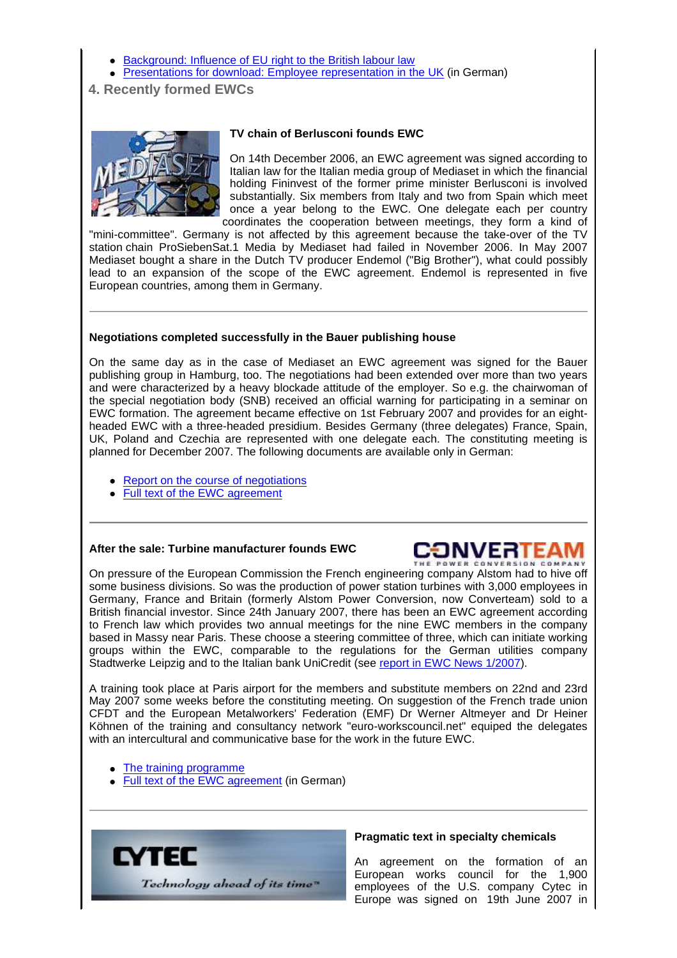- Background: Influence of EU right to the British labour law
- Presentations for download: Employee representation in the UK (in German)
- **4. Recently formed EWCs**



#### **TV chain of Berlusconi founds EWC**

On 14th December 2006, an EWC agreement was signed according to Italian law for the Italian media group of Mediaset in which the financial holding Fininvest of the former prime minister Berlusconi is involved substantially. Six members from Italy and two from Spain which meet once a year belong to the EWC. One delegate each per country coordinates the cooperation between meetings, they form a kind of

"mini-committee". Germany is not affected by this agreement because the take-over of the TV station chain ProSiebenSat.1 Media by Mediaset had failed in November 2006. In May 2007 Mediaset bought a share in the Dutch TV producer Endemol ("Big Brother"), what could possibly lead to an expansion of the scope of the EWC agreement. Endemol is represented in five European countries, among them in Germany.

#### **Negotiations completed successfully in the Bauer publishing house**

On the same day as in the case of Mediaset an EWC agreement was signed for the Bauer publishing group in Hamburg, too. The negotiations had been extended over more than two years and were characterized by a heavy blockade attitude of the employer. So e.g. the chairwoman of the special negotiation body (SNB) received an official warning for participating in a seminar on EWC formation. The agreement became effective on 1st February 2007 and provides for an eightheaded EWC with a three-headed presidium. Besides Germany (three delegates) France, Spain, UK, Poland and Czechia are represented with one delegate each. The constituting meeting is planned for December 2007. The following documents are available only in German:

- Report on the course of negotiations
- Full text of the EWC agreement

#### **After the sale: Turbine manufacturer founds EWC**



On pressure of the European Commission the French engineering company Alstom had to hive off some business divisions. So was the production of power station turbines with 3,000 employees in Germany, France and Britain (formerly Alstom Power Conversion, now Converteam) sold to a British financial investor. Since 24th January 2007, there has been an EWC agreement according to French law which provides two annual meetings for the nine EWC members in the company based in Massy near Paris. These choose a steering committee of three, which can initiate working groups within the EWC, comparable to the regulations for the German utilities company Stadtwerke Leipzig and to the Italian bank UniCredit (see report in EWC News 1/2007).

A training took place at Paris airport for the members and substitute members on 22nd and 23rd May 2007 some weeks before the constituting meeting. On suggestion of the French trade union CFDT and the European Metalworkers' Federation (EMF) Dr Werner Altmeyer and Dr Heiner Köhnen of the training and consultancy network "euro-workscouncil.net" equiped the delegates with an intercultural and communicative base for the work in the future EWC.

• The training programme

• Full text of the EWC agreement (in German)



#### **Pragmatic text in specialty chemicals**

An agreement on the formation of an European works council for the 1,900 employees of the U.S. company Cytec in Europe was signed on 19th June 2007 in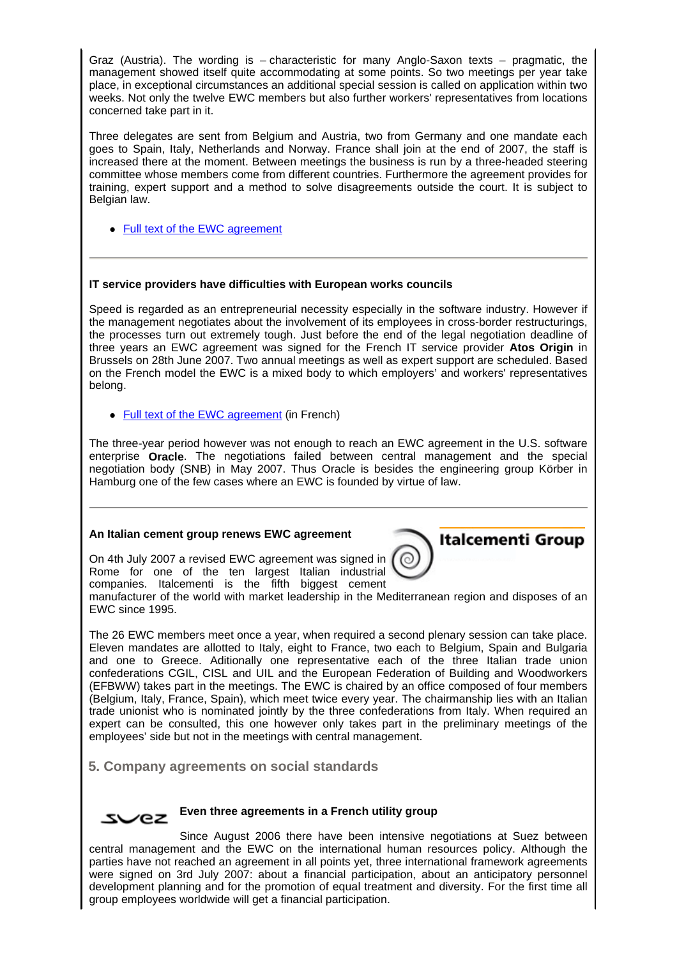Graz (Austria). The wording is – characteristic for many Anglo-Saxon texts – pragmatic, the management showed itself quite accommodating at some points. So two meetings per year take place, in exceptional circumstances an additional special session is called on application within two weeks. Not only the twelve EWC members but also further workers' representatives from locations concerned take part in it.

Three delegates are sent from Belgium and Austria, two from Germany and one mandate each goes to Spain, Italy, Netherlands and Norway. France shall join at the end of 2007, the staff is increased there at the moment. Between meetings the business is run by a three-headed steering committee whose members come from different countries. Furthermore the agreement provides for training, expert support and a method to solve disagreements outside the court. It is subject to Belgian law.

• Full text of the EWC agreement

# **IT service providers have difficulties with European works councils**

Speed is regarded as an entrepreneurial necessity especially in the software industry. However if the management negotiates about the involvement of its employees in cross-border restructurings, the processes turn out extremely tough. Just before the end of the legal negotiation deadline of three years an EWC agreement was signed for the French IT service provider **Atos Origin** in Brussels on 28th June 2007. Two annual meetings as well as expert support are scheduled. Based on the French model the EWC is a mixed body to which employers' and workers' representatives belong.

• Full text of the EWC agreement (in French)

The three-year period however was not enough to reach an EWC agreement in the U.S. software enterprise **Oracle**. The negotiations failed between central management and the special negotiation body (SNB) in May 2007. Thus Oracle is besides the engineering group Körber in Hamburg one of the few cases where an EWC is founded by virtue of law.

#### **An Italian cement group renews EWC agreement**

On 4th July 2007 a revised EWC agreement was signed in Rome for one of the ten largest Italian industrial companies. Italcementi is the fifth biggest cement



manufacturer of the world with market leadership in the Mediterranean region and disposes of an EWC since 1995.

The 26 EWC members meet once a year, when required a second plenary session can take place. Eleven mandates are allotted to Italy, eight to France, two each to Belgium, Spain and Bulgaria and one to Greece. Aditionally one representative each of the three Italian trade union confederations CGIL, CISL and UIL and the European Federation of Building and Woodworkers (EFBWW) takes part in the meetings. The EWC is chaired by an office composed of four members (Belgium, Italy, France, Spain), which meet twice every year. The chairmanship lies with an Italian trade unionist who is nominated jointly by the three confederations from Italy. When required an expert can be consulted, this one however only takes part in the preliminary meetings of the employees' side but not in the meetings with central management.

 **5. Company agreements on social standards**



#### **Even three agreements in a French utility group**

Since August 2006 there have been intensive negotiations at Suez between central management and the EWC on the international human resources policy. Although the parties have not reached an agreement in all points yet, three international framework agreements were signed on 3rd July 2007: about a financial participation, about an anticipatory personnel development planning and for the promotion of equal treatment and diversity. For the first time all group employees worldwide will get a financial participation.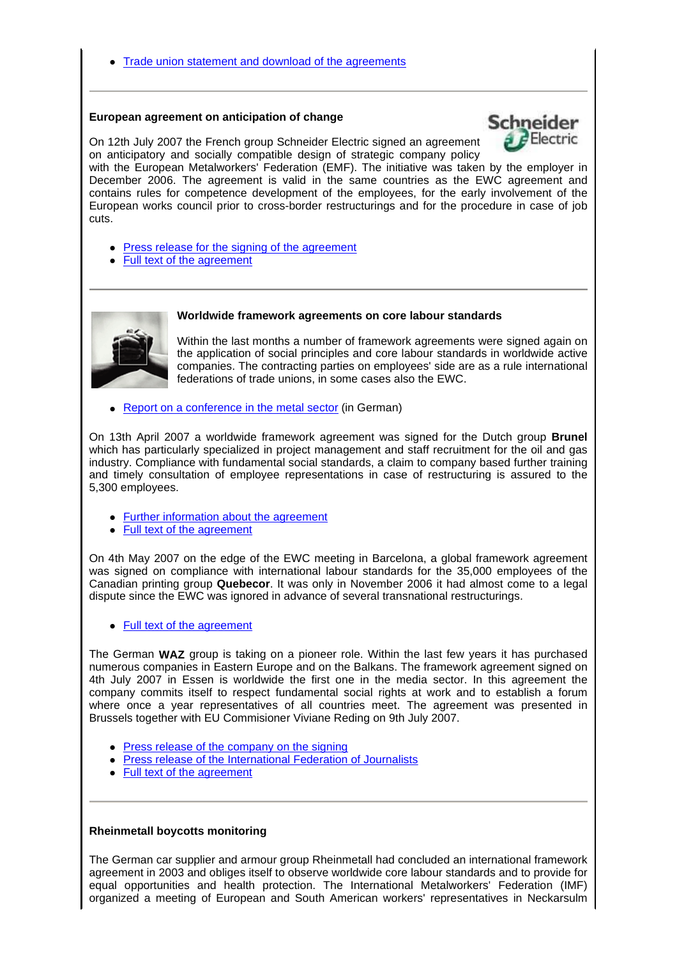#### **European agreement on anticipation of change**



On 12th July 2007 the French group Schneider Electric signed an agreement on anticipatory and socially compatible design of strategic company policy

with the European Metalworkers' Federation (EMF). The initiative was taken by the employer in December 2006. The agreement is valid in the same countries as the EWC agreement and contains rules for competence development of the employees, for the early involvement of the European works council prior to cross-border restructurings and for the procedure in case of job cuts.

- Press release for the signing of the agreement
- Full text of the agreement



Within the last months a number of framework agreements were signed again on the application of social principles and core labour standards in worldwide active companies. The contracting parties on employees' side are as a rule international federations of trade unions, in some cases also the EWC.

Report on a conference in the metal sector (in German)

On 13th April 2007 a worldwide framework agreement was signed for the Dutch group **Brunel** which has particularly specialized in project management and staff recruitment for the oil and gas industry. Compliance with fundamental social standards, a claim to company based further training and timely consultation of employee representations in case of restructuring is assured to the 5,300 employees.

- Further information about the agreement
- Full text of the agreement

On 4th May 2007 on the edge of the EWC meeting in Barcelona, a global framework agreement was signed on compliance with international labour standards for the 35,000 employees of the Canadian printing group **Quebecor**. It was only in November 2006 it had almost come to a legal dispute since the EWC was ignored in advance of several transnational restructurings.

• Full text of the agreement

The German **WAZ** group is taking on a pioneer role. Within the last few years it has purchased numerous companies in Eastern Europe and on the Balkans. The framework agreement signed on 4th July 2007 in Essen is worldwide the first one in the media sector. In this agreement the company commits itself to respect fundamental social rights at work and to establish a forum where once a year representatives of all countries meet. The agreement was presented in Brussels together with EU Commisioner Viviane Reding on 9th July 2007.

- Press release of the company on the signing
- Press release of the International Federation of Journalists
- Full text of the agreement

#### **Rheinmetall boycotts monitoring**

The German car supplier and armour group Rheinmetall had concluded an international framework agreement in 2003 and obliges itself to observe worldwide core labour standards and to provide for equal opportunities and health protection. The International Metalworkers' Federation (IMF) organized a meeting of European and South American workers' representatives in Neckarsulm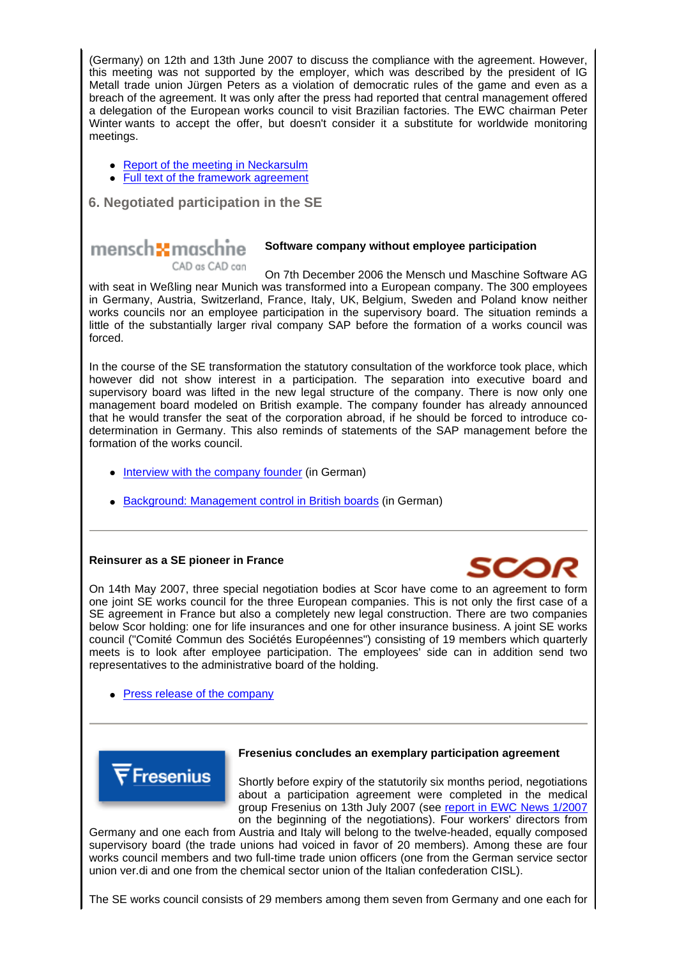(Germany) on 12th and 13th June 2007 to discuss the compliance with the agreement. However, this meeting was not supported by the employer, which was described by the president of IG Metall trade union Jürgen Peters as a violation of democratic rules of the game and even as a breach of the agreement. It was only after the press had reported that central management offered a delegation of the European works council to visit Brazilian factories. The EWC chairman Peter Winter wants to accept the offer, but doesn't consider it a substitute for worldwide monitoring meetings.

- Report of the meeting in Neckarsulm
- Full text of the framework agreement

 **6. Negotiated participation in the SE**

#### mensch**5t** maschne **Software company without employee participation** CAD as CAD can

On 7th December 2006 the Mensch und Maschine Software AG with seat in Weßling near Munich was transformed into a European company. The 300 employees in Germany, Austria, Switzerland, France, Italy, UK, Belgium, Sweden and Poland know neither works councils nor an employee participation in the supervisory board. The situation reminds a little of the substantially larger rival company SAP before the formation of a works council was forced.

In the course of the SE transformation the statutory consultation of the workforce took place, which however did not show interest in a participation. The separation into executive board and supervisory board was lifted in the new legal structure of the company. There is now only one management board modeled on British example. The company founder has already announced that he would transfer the seat of the corporation abroad, if he should be forced to introduce codetermination in Germany. This also reminds of statements of the SAP management before the formation of the works council.

- Interview with the company founder (in German)
- Background: Management control in British boards (in German)

# **Reinsurer as a SE pioneer in France**

On 14th May 2007, three special negotiation bodies at Scor have come to an agreement to form one joint SE works council for the three European companies. This is not only the first case of a SE agreement in France but also a completely new legal construction. There are two companies below Scor holding: one for life insurances and one for other insurance business. A joint SE works council ("Comité Commun des Sociétés Européennes") consisting of 19 members which quarterly meets is to look after employee participation. The employees' side can in addition send two representatives to the administrative board of the holding.

**Press release of the company** 



#### **Fresenius concludes an exemplary participation agreement**

Shortly before expiry of the statutorily six months period, negotiations about a participation agreement were completed in the medical group Fresenius on 13th July 2007 (see report in EWC News 1/2007 on the beginning of the negotiations). Four workers' directors from

Germany and one each from Austria and Italy will belong to the twelve-headed, equally composed supervisory board (the trade unions had voiced in favor of 20 members). Among these are four works council members and two full-time trade union officers (one from the German service sector union ver.di and one from the chemical sector union of the Italian confederation CISL).

The SE works council consists of 29 members among them seven from Germany and one each for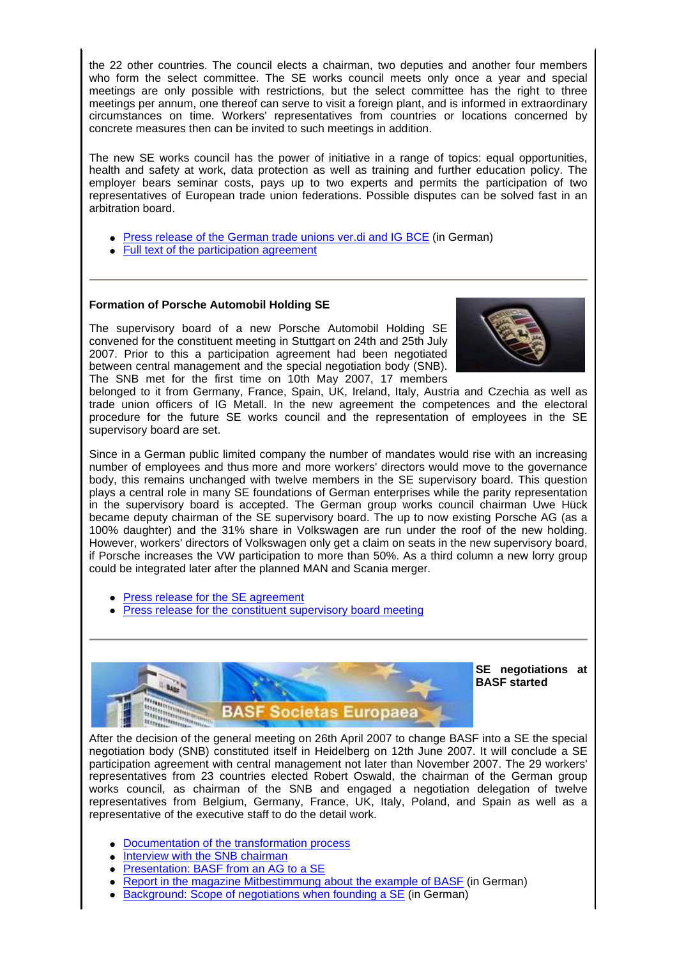the 22 other countries. The council elects a chairman, two deputies and another four members who form the select committee. The SE works council meets only once a year and special meetings are only possible with restrictions, but the select committee has the right to three meetings per annum, one thereof can serve to visit a foreign plant, and is informed in extraordinary circumstances on time. Workers' representatives from countries or locations concerned by concrete measures then can be invited to such meetings in addition.

The new SE works council has the power of initiative in a range of topics: equal opportunities, health and safety at work, data protection as well as training and further education policy. The employer bears seminar costs, pays up to two experts and permits the participation of two representatives of European trade union federations. Possible disputes can be solved fast in an arbitration board.

- Press release of the German trade unions ver.di and IG BCE (in German)
- Full text of the participation agreement

# **Formation of Porsche Automobil Holding SE**

The supervisory board of a new Porsche Automobil Holding SE convened for the constituent meeting in Stuttgart on 24th and 25th July 2007. Prior to this a participation agreement had been negotiated between central management and the special negotiation body (SNB). The SNB met for the first time on 10th May 2007, 17 members



belonged to it from Germany, France, Spain, UK, Ireland, Italy, Austria and Czechia as well as trade union officers of IG Metall. In the new agreement the competences and the electoral procedure for the future SE works council and the representation of employees in the SE supervisory board are set.

Since in a German public limited company the number of mandates would rise with an increasing number of employees and thus more and more workers' directors would move to the governance body, this remains unchanged with twelve members in the SE supervisory board. This question plays a central role in many SE foundations of German enterprises while the parity representation in the supervisory board is accepted. The German group works council chairman Uwe Hück became deputy chairman of the SE supervisory board. The up to now existing Porsche AG (as a 100% daughter) and the 31% share in Volkswagen are run under the roof of the new holding. However, workers' directors of Volkswagen only get a claim on seats in the new supervisory board, if Porsche increases the VW participation to more than 50%. As a third column a new lorry group could be integrated later after the planned MAN and Scania merger.

- Press release for the SE agreement
- Press release for the constituent supervisory board meeting



**SE negotiations at BASF started**

After the decision of the general meeting on 26th April 2007 to change BASF into a SE the special negotiation body (SNB) constituted itself in Heidelberg on 12th June 2007. It will conclude a SE participation agreement with central management not later than November 2007. The 29 workers' representatives from 23 countries elected Robert Oswald, the chairman of the German group works council, as chairman of the SNB and engaged a negotiation delegation of twelve representatives from Belgium, Germany, France, UK, Italy, Poland, and Spain as well as a representative of the executive staff to do the detail work.

- Documentation of the transformation process
- **Interview with the SNB chairman**
- Presentation: BASF from an AG to a SE
- Report in the magazine Mitbestimmung about the example of BASF (in German)
- Background: Scope of negotiations when founding a SE (in German)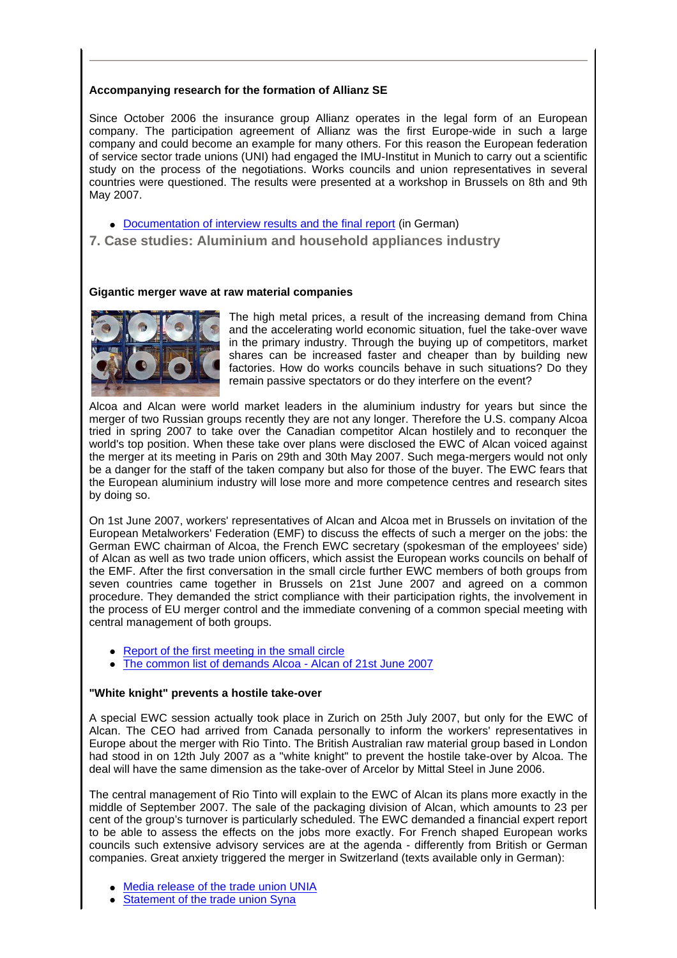# **Accompanying research for the formation of Allianz SE**

Since October 2006 the insurance group Allianz operates in the legal form of an European company. The participation agreement of Allianz was the first Europe-wide in such a large company and could become an example for many others. For this reason the European federation of service sector trade unions (UNI) had engaged the IMU-Institut in Munich to carry out a scientific study on the process of the negotiations. Works councils and union representatives in several countries were questioned. The results were presented at a workshop in Brussels on 8th and 9th May 2007.

- Documentation of interview results and the final report (in German)
- **7. Case studies: Aluminium and household appliances industry**

# **Gigantic merger wave at raw material companies**



The high metal prices, a result of the increasing demand from China and the accelerating world economic situation, fuel the take-over wave in the primary industry. Through the buying up of competitors, market shares can be increased faster and cheaper than by building new factories. How do works councils behave in such situations? Do they remain passive spectators or do they interfere on the event?

Alcoa and Alcan were world market leaders in the aluminium industry for years but since the merger of two Russian groups recently they are not any longer. Therefore the U.S. company Alcoa tried in spring 2007 to take over the Canadian competitor Alcan hostilely and to reconquer the world's top position. When these take over plans were disclosed the EWC of Alcan voiced against the merger at its meeting in Paris on 29th and 30th May 2007. Such mega-mergers would not only be a danger for the staff of the taken company but also for those of the buyer. The EWC fears that the European aluminium industry will lose more and more competence centres and research sites by doing so.

On 1st June 2007, workers' representatives of Alcan and Alcoa met in Brussels on invitation of the European Metalworkers' Federation (EMF) to discuss the effects of such a merger on the jobs: the German EWC chairman of Alcoa, the French EWC secretary (spokesman of the employees' side) of Alcan as well as two trade union officers, which assist the European works councils on behalf of the EMF. After the first conversation in the small circle further EWC members of both groups from seven countries came together in Brussels on 21st June 2007 and agreed on a common procedure. They demanded the strict compliance with their participation rights, the involvement in the process of EU merger control and the immediate convening of a common special meeting with central management of both groups.

- Report of the first meeting in the small circle
- The common list of demands Alcoa Alcan of 21st June 2007

# **"White knight" prevents a hostile take-over**

A special EWC session actually took place in Zurich on 25th July 2007, but only for the EWC of Alcan. The CEO had arrived from Canada personally to inform the workers' representatives in Europe about the merger with Rio Tinto. The British Australian raw material group based in London had stood in on 12th July 2007 as a "white knight" to prevent the hostile take-over by Alcoa. The deal will have the same dimension as the take-over of Arcelor by Mittal Steel in June 2006.

The central management of Rio Tinto will explain to the EWC of Alcan its plans more exactly in the middle of September 2007. The sale of the packaging division of Alcan, which amounts to 23 per cent of the group's turnover is particularly scheduled. The EWC demanded a financial expert report to be able to assess the effects on the jobs more exactly. For French shaped European works councils such extensive advisory services are at the agenda - differently from British or German companies. Great anxiety triggered the merger in Switzerland (texts available only in German):

- Media release of the trade union UNIA
- Statement of the trade union Syna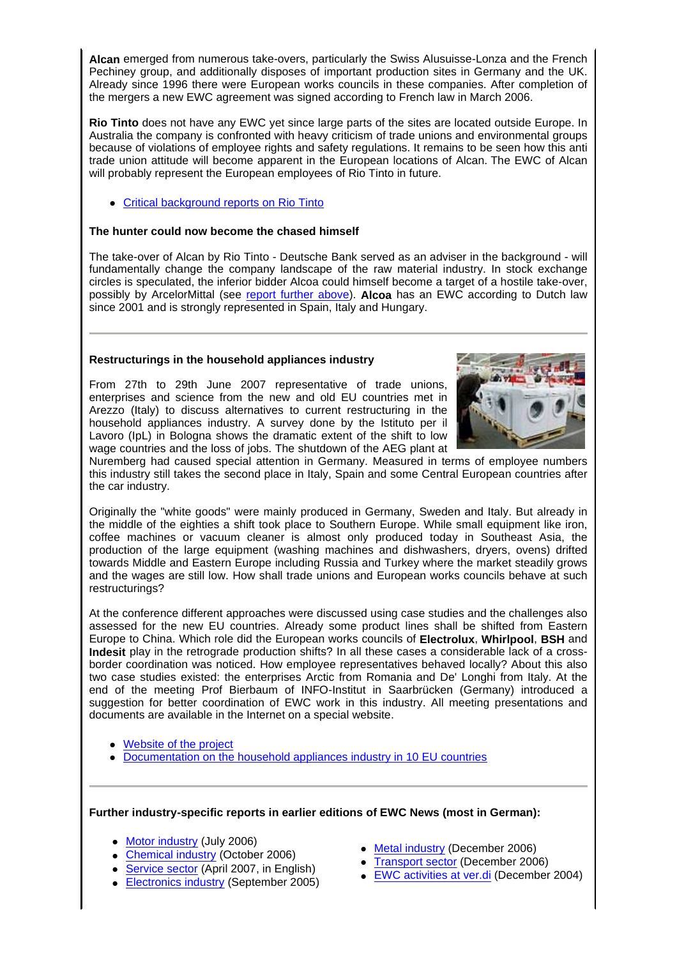**Alcan** emerged from numerous take-overs, particularly the Swiss Alusuisse-Lonza and the French Pechiney group, and additionally disposes of important production sites in Germany and the UK. Already since 1996 there were European works councils in these companies. After completion of the mergers a new EWC agreement was signed according to French law in March 2006.

**Rio Tinto** does not have any EWC yet since large parts of the sites are located outside Europe. In Australia the company is confronted with heavy criticism of trade unions and environmental groups because of violations of employee rights and safety regulations. It remains to be seen how this anti trade union attitude will become apparent in the European locations of Alcan. The EWC of Alcan will probably represent the European employees of Rio Tinto in future.

Critical background reports on Rio Tinto

# **The hunter could now become the chased himself**

The take-over of Alcan by Rio Tinto - Deutsche Bank served as an adviser in the background - will fundamentally change the company landscape of the raw material industry. In stock exchange circles is speculated, the inferior bidder Alcoa could himself become a target of a hostile take-over, possibly by ArcelorMittal (see report further above). **Alcoa** has an EWC according to Dutch law since 2001 and is strongly represented in Spain, Italy and Hungary.

# **Restructurings in the household appliances industry**

From 27th to 29th June 2007 representative of trade unions, enterprises and science from the new and old EU countries met in Arezzo (Italy) to discuss alternatives to current restructuring in the household appliances industry. A survey done by the Istituto per il Lavoro (IpL) in Bologna shows the dramatic extent of the shift to low wage countries and the loss of jobs. The shutdown of the AEG plant at



Nuremberg had caused special attention in Germany. Measured in terms of employee numbers this industry still takes the second place in Italy, Spain and some Central European countries after the car industry.

Originally the "white goods" were mainly produced in Germany, Sweden and Italy. But already in the middle of the eighties a shift took place to Southern Europe. While small equipment like iron, coffee machines or vacuum cleaner is almost only produced today in Southeast Asia, the production of the large equipment (washing machines and dishwashers, dryers, ovens) drifted towards Middle and Eastern Europe including Russia and Turkey where the market steadily grows and the wages are still low. How shall trade unions and European works councils behave at such restructurings?

At the conference different approaches were discussed using case studies and the challenges also assessed for the new EU countries. Already some product lines shall be shifted from Eastern Europe to China. Which role did the European works councils of **Electrolux**, **Whirlpool**, **BSH** and **Indesit** play in the retrograde production shifts? In all these cases a considerable lack of a crossborder coordination was noticed. How employee representatives behaved locally? About this also two case studies existed: the enterprises Arctic from Romania and De' Longhi from Italy. At the end of the meeting Prof Bierbaum of INFO-Institut in Saarbrücken (Germany) introduced a suggestion for better coordination of EWC work in this industry. All meeting presentations and documents are available in the Internet on a special website.

- Website of the project
- Documentation on the household appliances industry in 10 EU countries

#### **Further industry-specific reports in earlier editions of EWC News (most in German):**

- Motor industry (July 2006)
- Chemical industry (October 2006)
- Service sector (April 2007, in English)
- Electronics industry (September 2005)
- Metal industry (December 2006)
- Transport sector (December 2006)
- EWC activities at ver.di (December 2004)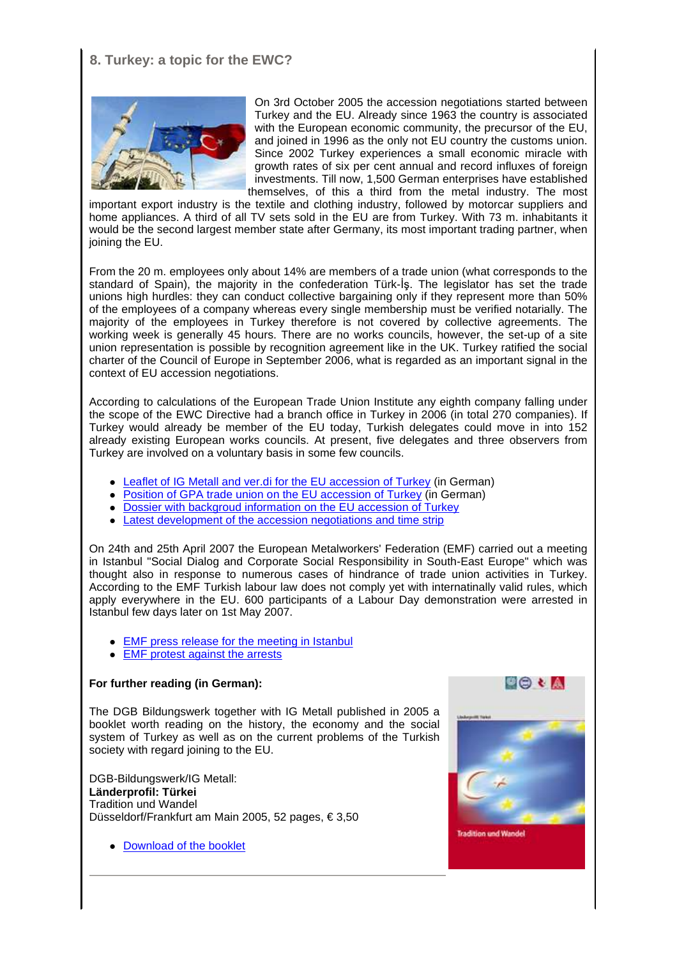# **8. Turkey: a topic for the EWC?**



On 3rd October 2005 the accession negotiations started between Turkey and the EU. Already since 1963 the country is associated with the European economic community, the precursor of the EU, and joined in 1996 as the only not EU country the customs union. Since 2002 Turkey experiences a small economic miracle with growth rates of six per cent annual and record influxes of foreign investments. Till now, 1,500 German enterprises have established themselves, of this a third from the metal industry. The most

important export industry is the textile and clothing industry, followed by motorcar suppliers and home appliances. A third of all TV sets sold in the EU are from Turkey. With 73 m. inhabitants it would be the second largest member state after Germany, its most important trading partner, when joining the EU.

From the 20 m. employees only about 14% are members of a trade union (what corresponds to the standard of Spain), the majority in the confederation Türk-İş. The legislator has set the trade unions high hurdles: they can conduct collective bargaining only if they represent more than 50% of the employees of a company whereas every single membership must be verified notarially. The majority of the employees in Turkey therefore is not covered by collective agreements. The working week is generally 45 hours. There are no works councils, however, the set-up of a site union representation is possible by recognition agreement like in the UK. Turkey ratified the social charter of the Council of Europe in September 2006, what is regarded as an important signal in the context of EU accession negotiations.

According to calculations of the European Trade Union Institute any eighth company falling under the scope of the EWC Directive had a branch office in Turkey in 2006 (in total 270 companies). If Turkey would already be member of the EU today, Turkish delegates could move in into 152 already existing European works councils. At present, five delegates and three observers from Turkey are involved on a voluntary basis in some few councils.

- Leaflet of IG Metall and ver.di for the EU accession of Turkey (in German)
- Position of GPA trade union on the EU accession of Turkey (in German)
- Dossier with backgroud information on the EU accession of Turkey
- Latest development of the accession negotiations and time strip

On 24th and 25th April 2007 the European Metalworkers' Federation (EMF) carried out a meeting in Istanbul "Social Dialog and Corporate Social Responsibility in South-East Europe" which was thought also in response to numerous cases of hindrance of trade union activities in Turkey. According to the EMF Turkish labour law does not comply yet with internatinally valid rules, which apply everywhere in the EU. 600 participants of a Labour Day demonstration were arrested in Istanbul few days later on 1st May 2007.

- **EMF** press release for the meeting in Istanbul
- EMF protest against the arrests

# **For further reading (in German):**

The DGB Bildungswerk together with IG Metall published in 2005 a booklet worth reading on the history, the economy and the social system of Turkey as well as on the current problems of the Turkish society with regard joining to the EU.

DGB-Bildungswerk/IG Metall: **Länderprofil: Türkei** Tradition und Wandel Düsseldorf/Frankfurt am Main 2005, 52 pages, € 3,50

Download of the booklet

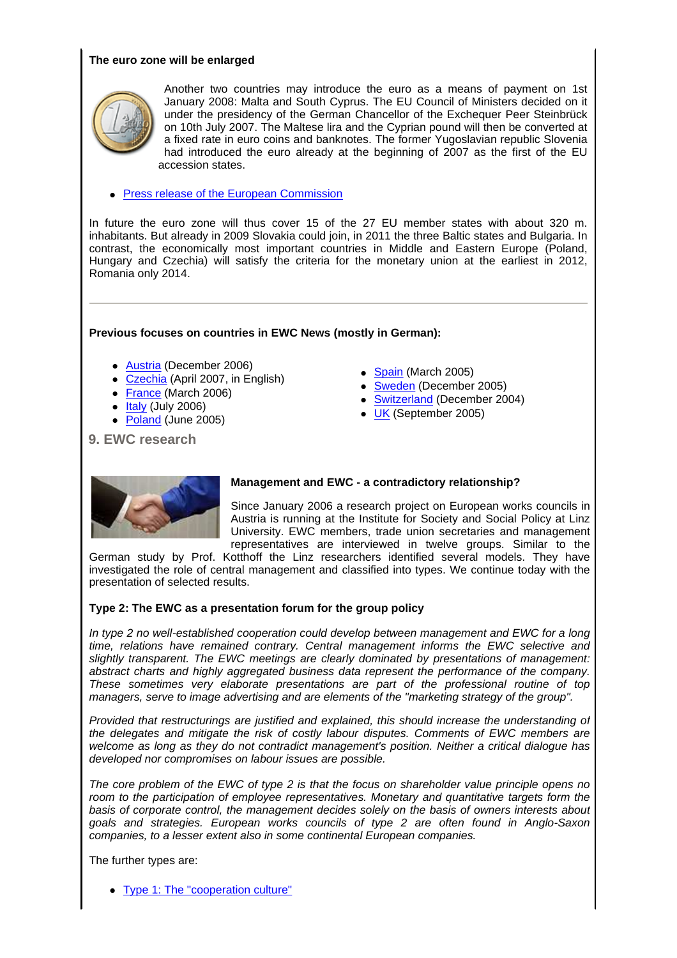# **The euro zone will be enlarged**



Another two countries may introduce the euro as a means of payment on 1st January 2008: Malta and South Cyprus. The EU Council of Ministers decided on it under the presidency of the German Chancellor of the Exchequer Peer Steinbrück on 10th July 2007. The Maltese lira and the Cyprian pound will then be converted at a fixed rate in euro coins and banknotes. The former Yugoslavian republic Slovenia had introduced the euro already at the beginning of 2007 as the first of the EU accession states.

**• Press release of the European Commission** 

In future the euro zone will thus cover 15 of the 27 EU member states with about 320 m. inhabitants. But already in 2009 Slovakia could join, in 2011 the three Baltic states and Bulgaria. In contrast, the economically most important countries in Middle and Eastern Europe (Poland, Hungary and Czechia) will satisfy the criteria for the monetary union at the earliest in 2012, Romania only 2014.

# **Previous focuses on countries in EWC News (mostly in German):**

- Austria (December 2006)
- Czechia (April 2007, in English)
- France (March 2006)
- $\bullet$  Italy (July 2006)
- Poland (June 2005)
- Spain (March 2005)
- Sweden (December 2005)
- Switzerland (December 2004)
- UK (September 2005)

 **9. EWC research**



# **Management and EWC - a contradictory relationship?**

Since January 2006 a research project on European works councils in Austria is running at the Institute for Society and Social Policy at Linz University. EWC members, trade union secretaries and management representatives are interviewed in twelve groups. Similar to the

German study by Prof. Kotthoff the Linz researchers identified several models. They have investigated the role of central management and classified into types. We continue today with the presentation of selected results.

# **Type 2: The EWC as a presentation forum for the group policy**

In type 2 no well-established cooperation could develop between management and EWC for a long time, relations have remained contrary. Central management informs the EWC selective and slightly transparent. The EWC meetings are clearly dominated by presentations of management: abstract charts and highly aggregated business data represent the performance of the company. These sometimes very elaborate presentations are part of the professional routine of top managers, serve to image advertising and are elements of the "marketing strategy of the group".

Provided that restructurings are justified and explained, this should increase the understanding of the delegates and mitigate the risk of costly labour disputes. Comments of EWC members are welcome as long as they do not contradict management's position. Neither a critical dialogue has developed nor compromises on labour issues are possible.

The core problem of the EWC of type 2 is that the focus on shareholder value principle opens no room to the participation of employee representatives. Monetary and quantitative targets form the basis of corporate control, the management decides solely on the basis of owners interests about goals and strategies. European works councils of type 2 are often found in Anglo-Saxon companies, to a lesser extent also in some continental European companies.

The further types are:

• Type 1: The "cooperation culture"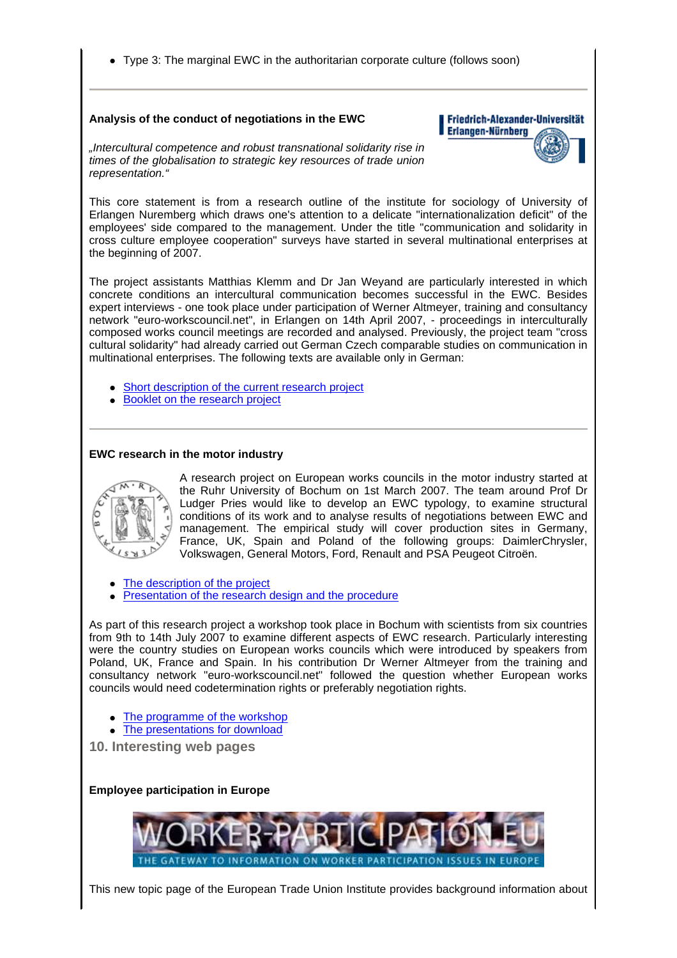Type 3: The marginal EWC in the authoritarian corporate culture (follows soon)

#### **Analysis of the conduct of negotiations in the EWC**

#### Friedrich-Alexander-Universität Erlangen-Nürnberg

"Intercultural competence and robust transnational solidarity rise in times of the globalisation to strategic key resources of trade union representation."

This core statement is from a research outline of the institute for sociology of University of Erlangen Nuremberg which draws one's attention to a delicate "internationalization deficit" of the employees' side compared to the management. Under the title "communication and solidarity in cross culture employee cooperation" surveys have started in several multinational enterprises at the beginning of 2007.

The project assistants Matthias Klemm and Dr Jan Weyand are particularly interested in which concrete conditions an intercultural communication becomes successful in the EWC. Besides expert interviews - one took place under participation of Werner Altmeyer, training and consultancy network "euro-workscouncil.net", in Erlangen on 14th April 2007, - proceedings in interculturally composed works council meetings are recorded and analysed. Previously, the project team "cross cultural solidarity" had already carried out German Czech comparable studies on communication in multinational enterprises. The following texts are available only in German:

- Short description of the current research project
- Booklet on the research project

# **EWC research in the motor industry**



A research project on European works councils in the motor industry started at the Ruhr University of Bochum on 1st March 2007. The team around Prof Dr Ludger Pries would like to develop an EWC typology, to examine structural conditions of its work and to analyse results of negotiations between EWC and management. The empirical study will cover production sites in Germany, France, UK, Spain and Poland of the following groups: DaimlerChrysler, Volkswagen, General Motors, Ford, Renault and PSA Peugeot Citroën.

The description of the project

Presentation of the research design and the procedure

As part of this research project a workshop took place in Bochum with scientists from six countries from 9th to 14th July 2007 to examine different aspects of EWC research. Particularly interesting were the country studies on European works councils which were introduced by speakers from Poland, UK, France and Spain. In his contribution Dr Werner Altmeyer from the training and consultancy network "euro-workscouncil.net" followed the question whether European works councils would need codetermination rights or preferably negotiation rights.

- The programme of the workshop
- The presentations for download

**10. Interesting web pages**

**Employee participation in Europe** 



This new topic page of the European Trade Union Institute provides background information about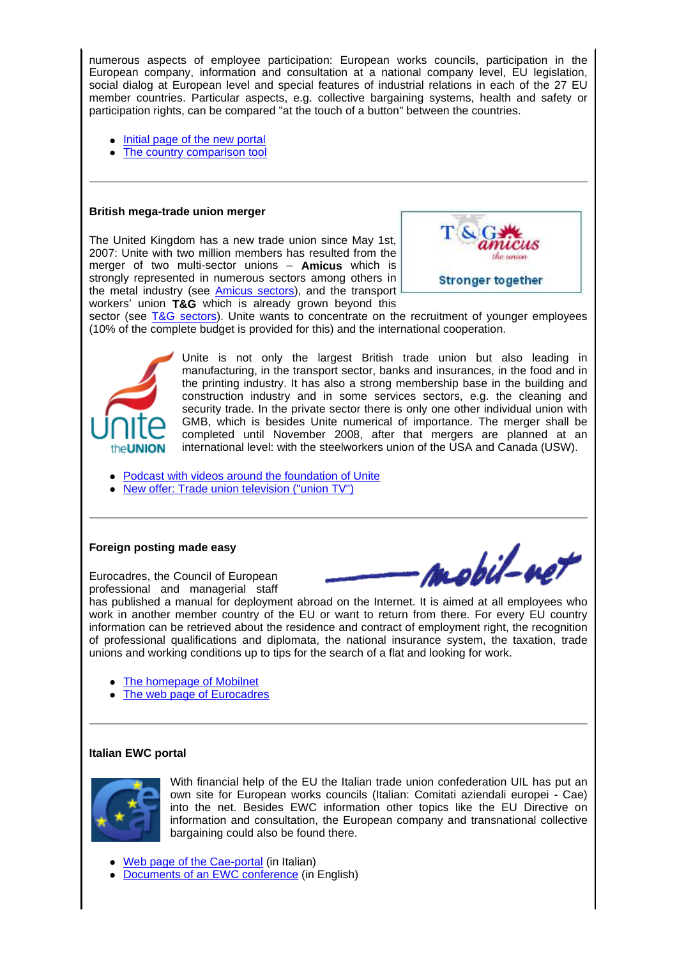numerous aspects of employee participation: European works councils, participation in the European company, information and consultation at a national company level, EU legislation, social dialog at European level and special features of industrial relations in each of the 27 EU member countries. Particular aspects, e.g. collective bargaining systems, health and safety or participation rights, can be compared "at the touch of a button" between the countries.

- Initial page of the new portal
- The country comparison tool

# **British mega-trade union merger**

The United Kingdom has a new trade union since May 1st, 2007: Unite with two million members has resulted from the merger of two multi-sector unions – **Amicus** which is strongly represented in numerous sectors among others in the metal industry (see **Amicus sectors**), and the transport workers' union **T&G** which is already grown beyond this



sector (see T&G sectors). Unite wants to concentrate on the recruitment of younger employees (10% of the complete budget is provided for this) and the international cooperation.



Unite is not only the largest British trade union but also leading in manufacturing, in the transport sector, banks and insurances, in the food and in the printing industry. It has also a strong membership base in the building and construction industry and in some services sectors, e.g. the cleaning and security trade. In the private sector there is only one other individual union with GMB, which is besides Unite numerical of importance. The merger shall be completed until November 2008, after that mergers are planned at an international level: with the steelworkers union of the USA and Canada (USW).

Podcast with videos around the foundation of Unite

New offer: Trade union television ("union TV")

#### **Foreign posting made easy**

Eurocadres, the Council of European professional and managerial staff mobil-o

has published a manual for deployment abroad on the Internet. It is aimed at all employees who work in another member country of the EU or want to return from there. For every EU country information can be retrieved about the residence and contract of employment right, the recognition of professional qualifications and diplomata, the national insurance system, the taxation, trade unions and working conditions up to tips for the search of a flat and looking for work.

- The homepage of Mobilnet
- The web page of Eurocadres

#### **Italian EWC portal**



With financial help of the EU the Italian trade union confederation UIL has put an own site for European works councils (Italian: Comitati aziendali europei - Cae) into the net. Besides EWC information other topics like the EU Directive on information and consultation, the European company and transnational collective bargaining could also be found there.

- Web page of the Cae-portal (in Italian)
- Documents of an EWC conference (in English)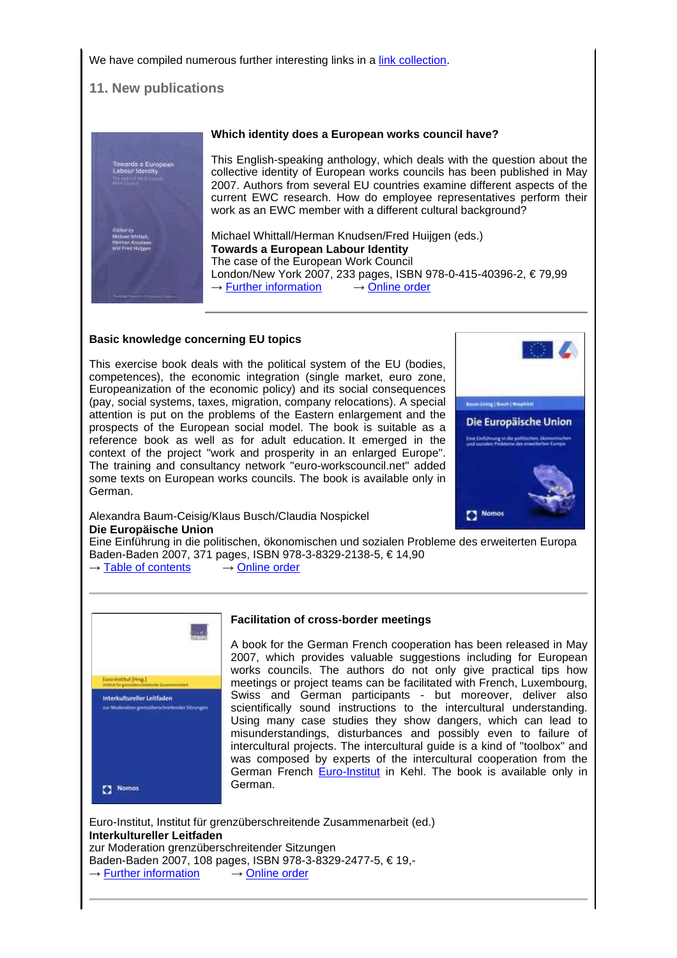We have compiled numerous further interesting links in a link collection.

# **11. New publications**



# **Which identity does a European works council have?**

This English-speaking anthology, which deals with the question about the collective identity of European works councils has been published in May 2007. Authors from several EU countries examine different aspects of the current EWC research. How do employee representatives perform their work as an EWC member with a different cultural background?

Michael Whittall/Herman Knudsen/Fred Huijgen (eds.) **Towards a European Labour Identity** The case of the European Work Council London/New York 2007, 233 pages, ISBN 978-0-415-40396-2, € 79,99  $\rightarrow$  Further information  $\rightarrow$  Online order

# **Basic knowledge concerning EU topics**

This exercise book deals with the political system of the EU (bodies, competences), the economic integration (single market, euro zone, Europeanization of the economic policy) and its social consequences (pay, social systems, taxes, migration, company relocations). A special attention is put on the problems of the Eastern enlargement and the prospects of the European social model. The book is suitable as a reference book as well as for adult education. It emerged in the context of the project "work and prosperity in an enlarged Europe". The training and consultancy network "euro-workscouncil.net" added some texts on European works councils. The book is available only in German.



Alexandra Baum-Ceisig/Klaus Busch/Claudia Nospickel **Die Europäische Union**

Eine Einführung in die politischen, ökonomischen und sozialen Probleme des erweiterten Europa Baden-Baden 2007, 371 pages, ISBN 978-3-8329-2138-5, € 14,90

 $\rightarrow$  Table of contents  $\rightarrow$  Online order



#### **Facilitation of cross-border meetings**

A book for the German French cooperation has been released in May 2007, which provides valuable suggestions including for European works councils. The authors do not only give practical tips how meetings or project teams can be facilitated with French, Luxembourg, Swiss and German participants - but moreover, deliver also scientifically sound instructions to the intercultural understanding. Using many case studies they show dangers, which can lead to misunderstandings, disturbances and possibly even to failure of intercultural projects. The intercultural guide is a kind of "toolbox" and was composed by experts of the intercultural cooperation from the German French Euro-Institut in Kehl. The book is available only in German.

Euro-Institut, Institut für grenzüberschreitende Zusammenarbeit (ed.) **Interkultureller Leitfaden** zur Moderation grenzüberschreitender Sitzungen Baden-Baden 2007, 108 pages, ISBN 978-3-8329-2477-5, € 19,-  $\rightarrow$  Further information  $\rightarrow$  Online order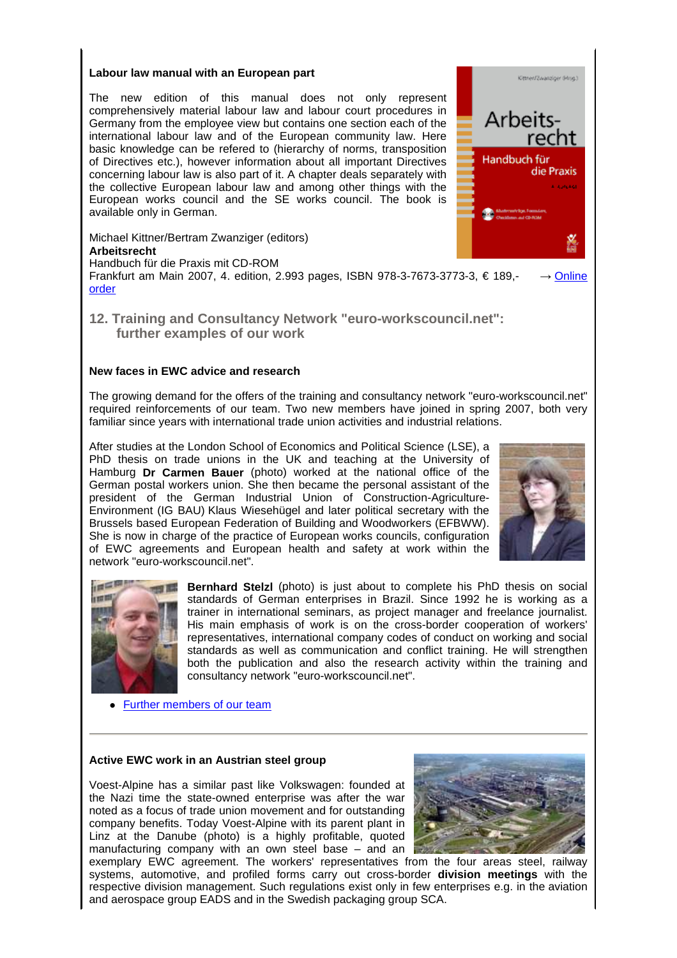#### **Labour law manual with an European part**

The new edition of this manual does not only represent comprehensively material labour law and labour court procedures in Germany from the employee view but contains one section each of the international labour law and of the European community law. Here basic knowledge can be refered to (hierarchy of norms, transposition of Directives etc.), however information about all important Directives concerning labour law is also part of it. A chapter deals separately with the collective European labour law and among other things with the European works council and the SE works council. The book is available only in German.

Michael Kittner/Bertram Zwanziger (editors)

#### **Arbeitsrecht**

Handbuch für die Praxis mit CD-ROM

Frankfurt am Main 2007, 4. edition, 2.993 pages, ISBN 978-3-7673-3773-3, € 189,- → Online order

 **12. Training and Consultancy Network "euro-workscouncil.net": further examples of our work**

# **New faces in EWC advice and research**

The growing demand for the offers of the training and consultancy network "euro-workscouncil.net" required reinforcements of our team. Two new members have joined in spring 2007, both very familiar since years with international trade union activities and industrial relations.

After studies at the London School of Economics and Political Science (LSE), a PhD thesis on trade unions in the UK and teaching at the University of Hamburg **Dr Carmen Bauer** (photo) worked at the national office of the German postal workers union. She then became the personal assistant of the president of the German Industrial Union of Construction-Agriculture-Environment (IG BAU) Klaus Wiesehügel and later political secretary with the Brussels based European Federation of Building and Woodworkers (EFBWW). She is now in charge of the practice of European works councils, configuration of EWC agreements and European health and safety at work within the network "euro-workscouncil.net".



Kimner/Zusacricur Géneri

die Praxis

Arbeits-

Handbuch für



**Bernhard Stelzl** (photo) is just about to complete his PhD thesis on social standards of German enterprises in Brazil. Since 1992 he is working as a trainer in international seminars, as project manager and freelance journalist. His main emphasis of work is on the cross-border cooperation of workers' representatives, international company codes of conduct on working and social standards as well as communication and conflict training. He will strengthen both the publication and also the research activity within the training and consultancy network "euro-workscouncil.net".

• Further members of our team

# **Active EWC work in an Austrian steel group**

Voest-Alpine has a similar past like Volkswagen: founded at the Nazi time the state-owned enterprise was after the war noted as a focus of trade union movement and for outstanding company benefits. Today Voest-Alpine with its parent plant in Linz at the Danube (photo) is a highly profitable, quoted manufacturing company with an own steel base – and an



exemplary EWC agreement. The workers' representatives from the four areas steel, railway systems, automotive, and profiled forms carry out cross-border **division meetings** with the respective division management. Such regulations exist only in few enterprises e.g. in the aviation and aerospace group EADS and in the Swedish packaging group SCA.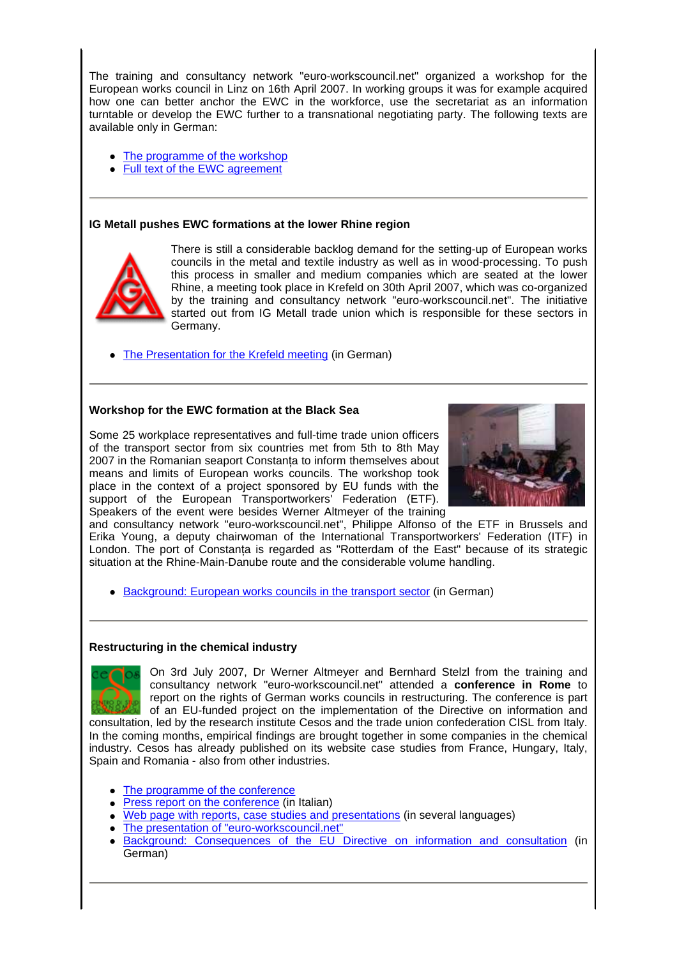The training and consultancy network "euro-workscouncil.net" organized a workshop for the European works council in Linz on 16th April 2007. In working groups it was for example acquired how one can better anchor the EWC in the workforce, use the secretariat as an information turntable or develop the EWC further to a transnational negotiating party. The following texts are available only in German:

- The programme of the workshop
- Full text of the EWC agreement

# **IG Metall pushes EWC formations at the lower Rhine region**



There is still a considerable backlog demand for the setting-up of European works councils in the metal and textile industry as well as in wood-processing. To push this process in smaller and medium companies which are seated at the lower Rhine, a meeting took place in Krefeld on 30th April 2007, which was co-organized by the training and consultancy network "euro-workscouncil.net". The initiative started out from IG Metall trade union which is responsible for these sectors in Germany.

• The Presentation for the Krefeld meeting (in German)

#### **Workshop for the EWC formation at the Black Sea**

Some 25 workplace representatives and full-time trade union officers of the transport sector from six countries met from 5th to 8th May 2007 in the Romanian seaport Constanţa to inform themselves about means and limits of European works councils. The workshop took place in the context of a project sponsored by EU funds with the support of the European Transportworkers' Federation (ETF). Speakers of the event were besides Werner Altmeyer of the training



and consultancy network "euro-workscouncil.net", Philippe Alfonso of the ETF in Brussels and Erika Young, a deputy chairwoman of the International Transportworkers' Federation (ITF) in London. The port of Constanța is regarded as "Rotterdam of the East" because of its strategic situation at the Rhine-Main-Danube route and the considerable volume handling.

• Background: European works councils in the transport sector (in German)

# **Restructuring in the chemical industry**

On 3rd July 2007, Dr Werner Altmeyer and Bernhard Stelzl from the training and consultancy network "euro-workscouncil.net" attended a **conference in Rome** to report on the rights of German works councils in restructuring. The conference is part of an EU-funded project on the implementation of the Directive on information and consultation, led by the research institute Cesos and the trade union confederation CISL from Italy. In the coming months, empirical findings are brought together in some companies in the chemical industry. Cesos has already published on its website case studies from France, Hungary, Italy, Spain and Romania - also from other industries.

- The programme of the conference
- Press report on the conference (in Italian)
- Web page with reports, case studies and presentations (in several languages)
- The presentation of "euro-workscouncil.net"
- Background: Consequences of the EU Directive on information and consultation (in German)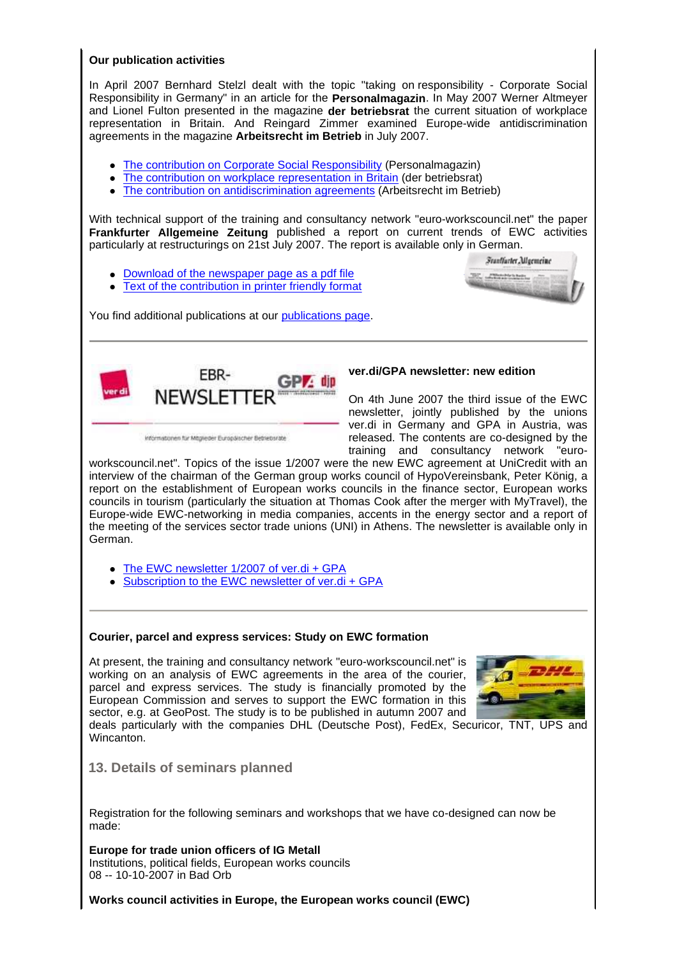#### **Our publication activities**

In April 2007 Bernhard Stelzl dealt with the topic "taking on responsibility - Corporate Social Responsibility in Germany" in an article for the **Personalmagazin**. In May 2007 Werner Altmeyer and Lionel Fulton presented in the magazine **der betriebsrat** the current situation of workplace representation in Britain. And Reingard Zimmer examined Europe-wide antidiscrimination agreements in the magazine **Arbeitsrecht im Betrieb** in July 2007.

- The contribution on Corporate Social Responsibility (Personalmagazin)
- The contribution on workplace representation in Britain (der betriebsrat)
- The contribution on antidiscrimination agreements (Arbeitsrecht im Betrieb)

With technical support of the training and consultancy network "euro-workscouncil.net" the paper **Frankfurter Allgemeine Zeitung** published a report on current trends of EWC activities particularly at restructurings on 21st July 2007. The report is available only in German.

- Download of the newspaper page as a pdf file
- Text of the contribution in printer friendly format

You find additional publications at our publications page.



Informationen für Mitglieder Europäischer Betriebsrate

# **ver.di/GPA newsletter: new edition**

On 4th June 2007 the third issue of the EWC newsletter, jointly published by the unions ver.di in Germany and GPA in Austria, was released. The contents are co-designed by the training and consultancy network "euro-

**Frantfurter Allgemeine** C. Photoshop

workscouncil.net". Topics of the issue 1/2007 were the new EWC agreement at UniCredit with an interview of the chairman of the German group works council of HypoVereinsbank, Peter König, a report on the establishment of European works councils in the finance sector, European works councils in tourism (particularly the situation at Thomas Cook after the merger with MyTravel), the Europe-wide EWC-networking in media companies, accents in the energy sector and a report of the meeting of the services sector trade unions (UNI) in Athens. The newsletter is available only in German.

- The EWC newsletter 1/2007 of ver.di + GPA
- Subscription to the EWC newsletter of ver.di + GPA

# **Courier, parcel and express services: Study on EWC formation**

At present, the training and consultancy network "euro-workscouncil.net" is working on an analysis of EWC agreements in the area of the courier, parcel and express services. The study is financially promoted by the European Commission and serves to support the EWC formation in this sector, e.g. at GeoPost. The study is to be published in autumn 2007 and



deals particularly with the companies DHL (Deutsche Post), FedEx, Securicor, TNT, UPS and Wincanton.

# **13. Details of seminars planned**

Registration for the following seminars and workshops that we have co-designed can now be made:

**Europe for trade union officers of IG Metall** Institutions, political fields, European works councils 08 -- 10-10-2007 in Bad Orb

**Works council activities in Europe, the European works council (EWC)**